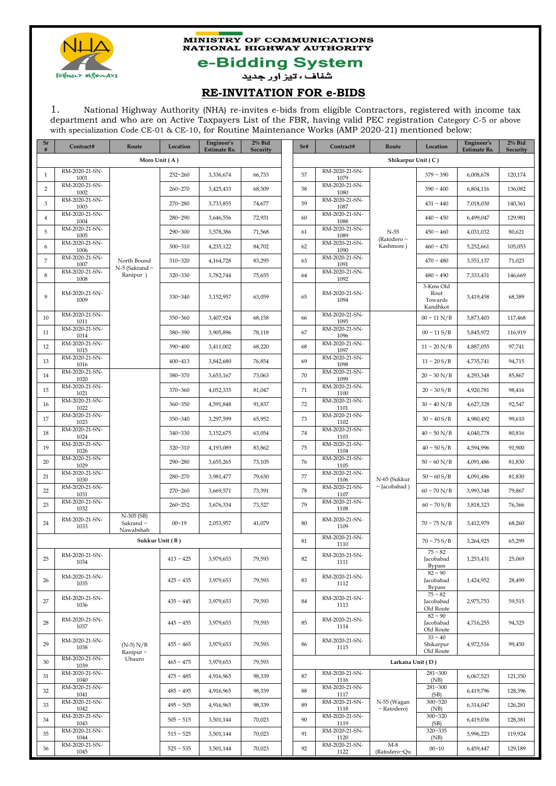

## **MINISTRY OF COMMUNICATIONS<br>NATIONAL HIGHWAY AUTHORITY**

e-Bidding System

## ۔ ۔ ۔ ۔ ۔ ۔<br>شفاف ، تیز اور جدید

## **RE-INVITATION FOR e-BIDS**

1. National Highway Authority (NHA) re-invites e-bids from eligible Contractors, registered with income tax department and who are on Active Taxpayers List of the FBR, having valid PEC registration Category C-5 or above with specialization Code CE-01 & CE-10, for Routine Maintenance Works (AMP 2020-21) mentioned below:

| $S_{r}$<br>#    | Contract#              | Route                                                     | Location       | Engineer's<br><b>Estimate Rs.</b> | $2\%$ Bid<br>Security |    | $S$ r# | Contract#              | Route                                 | Location                                   | Engineer's<br><b>Estimate Rs.</b> | $2%$ Bid<br>Security |  |
|-----------------|------------------------|-----------------------------------------------------------|----------------|-----------------------------------|-----------------------|----|--------|------------------------|---------------------------------------|--------------------------------------------|-----------------------------------|----------------------|--|
|                 | Moro Unit (A)          |                                                           |                |                                   |                       |    |        | Shikarpur Unit (C)     |                                       |                                            |                                   |                      |  |
| $\mathbf{1}$    | RM-2020-21-SN-<br>1001 |                                                           | 252~260        | 3,336,674                         | 66,733                |    | 57     | RM-2020-21-SN-<br>1079 |                                       | $379 \sim 390$                             | 6,008,678                         | 120,174              |  |
| $\overline{2}$  | RM-2020-21-SN-<br>1002 |                                                           | 260~270        | 3,425,433                         | 68,509                |    | 58     | RM-2020-21-SN-<br>1080 |                                       | $390 \sim 400$                             | 6,804,116                         | 136,082              |  |
| $\mathfrak z$   | RM-2020-21-SN-<br>1003 |                                                           | 270~280        | 3,733,855                         | 74,677                |    | 59     | RM-2020-21-SN-<br>1087 |                                       | $431 \sim 440$                             | 7,018,030                         | 140,361              |  |
| $\overline{4}$  | RM-2020-21-SN-<br>1004 | North Bound<br>N-5 (Sakrand $\sim$                        | 280~290        | 3,646,556                         | 72,931                | 60 |        | RM-2020-21-SN-<br>1088 | N-55<br>(Ratodero $\sim$<br>Kashmore) | $440 \sim 450$                             | 6,499,047                         | 129,981              |  |
| 5               | RM-2020-21-SN-<br>1005 |                                                           | 290~300        | 3,578,386                         | 71,568                |    | 61     | RM-2020-21-SN-<br>1089 |                                       | $450 - 460$                                | 4,031,032                         | 80,621               |  |
| 6               | RM-2020-21-SN-<br>1006 |                                                           | 300~310        | 4,235,122                         | 84,702                |    | 62     | RM-2020-21-SN-<br>1090 |                                       | $460 \sim 470$                             | 5,252,661                         | 105,053              |  |
| $\overline{7}$  | RM-2020-21-SN-<br>1007 |                                                           | 310~320        | 4,164,728                         | 83,295                |    | 63     | RM-2020-21-SN-<br>1091 |                                       | $470 \sim 480$                             | 3,551,137                         | 71,023               |  |
| $\,$ 8 $\,$     | RM-2020-21-SN-<br>1008 | Ranipur )                                                 | 320~330        | 3,782,744                         | 75,655                |    | 64     | RM-2020-21-SN-<br>1092 |                                       | $480 \sim 490$                             | 7,333,431                         | 146,669              |  |
| 9               | RM-2020-21-SN-<br>1009 |                                                           | 330~340        | 3,152,957                         | 63,059                |    | 65     | RM-2020-21-SN-<br>1094 |                                       | 3-Kms Old<br>Rout<br>Towards<br>Kandhkot   | 3,419,458                         | 68,389               |  |
| 10              | RM-2020-21-SN-<br>1011 |                                                           | 350~360        | 3,407,924                         | 68,158                |    | 66     | RM-2020-21-SN-<br>1095 |                                       | $00 \sim 11 \text{ N/B}$                   | 5,873,403                         | 117,468              |  |
| 11              | RM-2020-21-SN-<br>1014 |                                                           | 380~390        | 3,905,896                         | 78,118                |    | 67     | RM-2020-21-SN-<br>1096 |                                       | $00 \sim 11 \text{ S/B}$                   | 5,845,972                         | 116,919              |  |
| 12              | RM-2020-21-SN-<br>1015 |                                                           | 390~400        | 3,411,002                         | 68,220                |    | 68     | RM-2020-21-SN-<br>1097 |                                       | $11 \sim 20 \text{ N/B}$                   | 4,887,055                         | 97,741               |  |
| 13              | RM-2020-21-SN-<br>1016 |                                                           | $400 - 413$    | 3,842,680                         | 76,854                |    | 69     | RM-2020-21-SN-<br>1098 |                                       | $11 \sim 20 \text{ S/B}$                   | 4,735,741                         | 94,715               |  |
| 14              | RM-2020-21-SN-<br>1020 |                                                           | 380~370        | 3,653,167                         | 73,063                |    | 70     | RM-2020-21-SN-<br>1099 |                                       | $20 \sim 30 \text{ N/B}$                   | 4,293,348                         | 85,867               |  |
| 15              | RM-2020-21-SN-<br>1021 |                                                           | 370~360        | 4,052,335                         | 81,047                |    | 71     | RM-2020-21-SN-<br>1100 |                                       | $20 \sim 30$ S/B                           | 4,920,781                         | 98,416               |  |
| 16              | RM-2020-21-SN-<br>1022 |                                                           | 360~350        | 4,591,848                         | 91,837                |    | 72     | RM-2020-21-SN-<br>1101 |                                       | $30 \sim 40 N/B$                           | 4,627,328                         | 92,547               |  |
| 17              | RM-2020-21-SN-<br>1023 |                                                           | 350~340        | 3,297,599                         | 65,952                |    | 73     | RM-2020-21-SN-<br>1102 |                                       | $30 \sim 40 S/B$                           | 4,980,492                         | 99,610               |  |
| 18              | RM-2020-21-SN-<br>1024 |                                                           | 340~330        | 3,152,675                         | 63,054                |    | 74     | RM-2020-21-SN-<br>1103 |                                       | $40 \sim 50 \text{ N/B}$                   | 4,040,778                         | 80,816               |  |
| 19              | RM-2020-21-SN-<br>1026 |                                                           | 320~310        | 4,193,089                         | 83,862                |    | 75     | RM-2020-21-SN-<br>1104 |                                       | $40 \sim 50 S/B$                           | 4,594,996                         | 91,900               |  |
| 20              | RM-2020-21-SN-<br>1029 |                                                           | 290~280        | 3,655,265                         | 73,105                |    | 76     | RM-2020-21-SN-<br>1105 |                                       | $50 \sim 60 \text{ N/B}$                   | 4,091,486                         | 81,830               |  |
| 21              | RM-2020-21-SN-<br>1030 |                                                           | 280~270        | 3,981,477                         | 79,630                |    | 77     | RM-2020-21-SN-<br>1106 | N-65 (Sukkur<br>$\sim$ Jacobabad)     | $50 \sim 60 \text{ S/B}$                   | 4,091,486                         | 81,830               |  |
| 22              | RM-2020-21-SN-<br>1031 |                                                           | 270~260        | 3,669,571                         | 73,391                |    | 78     | RM-2020-21-SN-<br>1107 |                                       | $60 \sim 70 \text{ N/B}$                   | 3,993,348                         | 79,867               |  |
| 23              | RM-2020-21-SN-<br>1032 |                                                           | 260~252        | 3,676,334                         | 73,527                |    | 79     | RM-2020-21-SN-<br>1108 |                                       | $60 \sim 70$ S/B                           | 3,818,323                         | 76,366               |  |
| 24              | RM-2020-21-SN-<br>1033 | $\overline{N}$ -305 $(SB)$<br>Sakrand $\sim$<br>Nawabshah | $00 - 19$      | 2,053,957                         | 41,079                |    | 80     | RM-2020-21-SN-<br>1109 |                                       | $70 \sim 75 \text{ N/B}$                   | 3,412,979                         | 68,260               |  |
| Sukkur Unit (B) |                        |                                                           |                |                                   |                       |    | 81     | RM-2020-21-SN-<br>1110 |                                       | $70 \sim 75 S/B$                           | 3,264,925                         | 65,299               |  |
| 25              | RM-2020-21-SN-<br>1034 |                                                           | $413 \sim 425$ | 3,979,653                         | 79,593                |    | 82     | RM-2020-21-SN-<br>1111 |                                       | $75 - 82$<br>Jacobabad<br><b>Bypass</b>    | 1,253,431                         | 25,069               |  |
| 26              | RM-2020-21-SN-<br>1035 |                                                           | $425 \sim 435$ | 3,979,653                         | 79,593                |    | 83     | RM-2020-21-SN-<br>1112 |                                       | $82 \sim 90$<br>Jacobabad<br><b>Bypass</b> | 1,424,952                         | 28,499               |  |
| 27              | RM-2020-21-SN-<br>1036 |                                                           | $435\sim445$   | 3,979,653                         | 79,593                |    | 84     | RM-2020-21-SN-<br>1113 |                                       | $75 \sim 82$<br>Jacobabad<br>Old Route     | 2,975,753                         | 59,515               |  |
| 28              | RM-2020-21-SN-<br>1037 |                                                           | $445\sim455$   | 3,979,653                         | 79,593                |    | 85     | RM-2020-21-SN-<br>1114 |                                       | $82 \sim 90$<br>Jacobabad<br>Old Route     | 4,716,255                         | 94,325               |  |
| 29              | RM-2020-21-SN-<br>1038 | $(N-5) N/B$<br>Ranipur~<br>Ubauro                         | $455\sim465$   | 3,979,653                         | 79,593                |    | 86     | RM-2020-21-SN-<br>1115 |                                       | $33 \sim 40$<br>Shikarpur<br>Old Route     | 4,972,516                         | 99,450               |  |
| 30              | RM-2020-21-SN-<br>1039 |                                                           | $465\sim475$   | 3,979,653                         | 79,593                |    |        | Larkana Unit (D)       |                                       |                                            |                                   |                      |  |
| 31              | RM-2020-21-SN-<br>1040 |                                                           | $475 \sim 485$ | 4,916,965                         | 98,339                |    | 87     | RM-2020-21-SN-<br>1116 |                                       | 281~300<br>(NB)                            | 6,067,523                         | 121,350              |  |
| 32              | RM-2020-21-SN-<br>1041 |                                                           | $485\sim495$   | 4,916,965                         | 98,339                |    | 88     | RM-2020-21-SN-<br>1117 |                                       | 281~300<br>(SB)                            | 6,419,796                         | 128,396              |  |
| 33              | RM-2020-21-SN-<br>1042 |                                                           | $495\sim505$   | 4,916,965                         | 98,339                |    | 89     | RM-2020-21-SN-<br>1118 | N-55 (Wagan<br>$\sim$ Ratodero)       | 300~320<br>(NB)                            | 6,314,047                         | 126,281              |  |
| 34              | RM-2020-21-SN-<br>1043 |                                                           | $505\sim515$   | 3,501,144                         | 70,023                |    | 90     | RM-2020-21-SN-<br>1119 |                                       | 300~320<br>(SB)                            | 6,419,036                         | 128,381              |  |
| 35              | RM-2020-21-SN-<br>1044 |                                                           | $515\sim525$   | 3,501,144                         | 70,023                |    | 91     | RM-2020-21-SN-<br>1120 |                                       | 320~335<br>(NB)                            | 5,996,223                         | 119,924              |  |
| 36              | RM-2020-21-SN-<br>1045 |                                                           | $525 \sim 535$ | 3,501,144                         | 70,023                |    | 92     | RM-2020-21-SN-<br>1122 | $M-8$<br>(Ratodero~Qu                 | $00 - 10$                                  | 6,459,447                         | 129,189              |  |